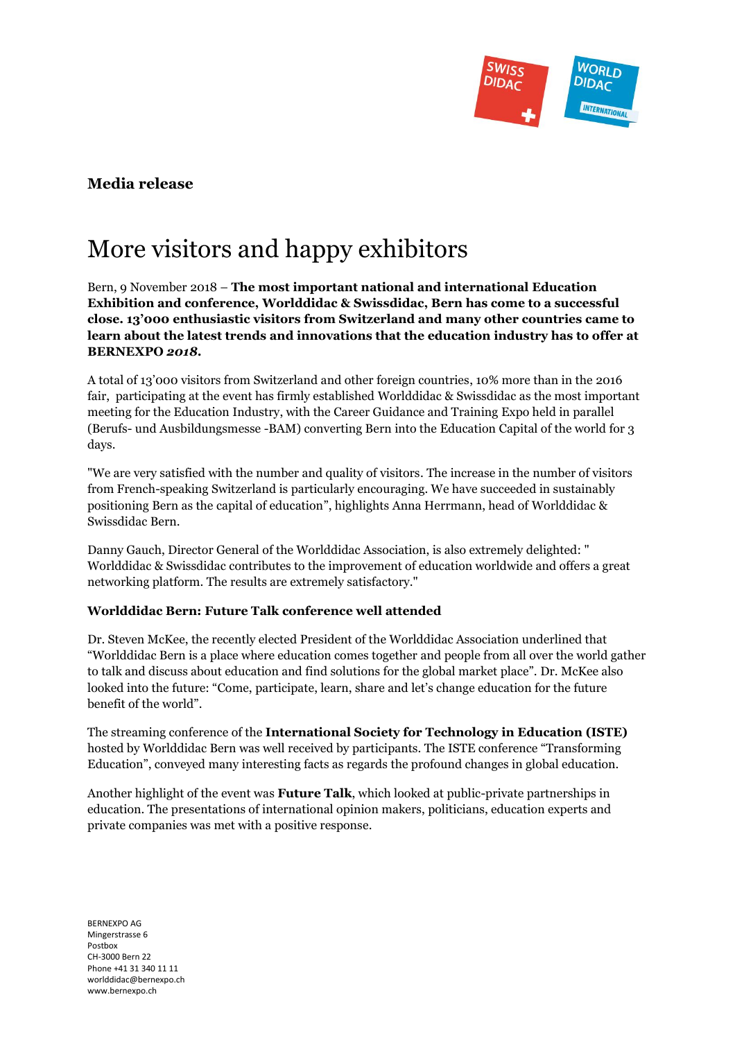

## **Media release**

# More visitors and happy exhibitors

Bern, 9 November 2018 – **The most important national and international Education Exhibition and conference, Worlddidac & Swissdidac, Bern has come to a successful close. 13'000 enthusiastic visitors from Switzerland and many other countries came to learn about the latest trends and innovations that the education industry has to offer at BERNEXPO** *2018***.**

A total of 13'000 visitors from Switzerland and other foreign countries, 10% more than in the 2016 fair, participating at the event has firmly established Worlddidac & Swissdidac as the most important meeting for the Education Industry, with the Career Guidance and Training Expo held in parallel (Berufs- und Ausbildungsmesse -BAM) converting Bern into the Education Capital of the world for 3 days.

"We are very satisfied with the number and quality of visitors. The increase in the number of visitors from French-speaking Switzerland is particularly encouraging. We have succeeded in sustainably positioning Bern as the capital of education", highlights Anna Herrmann, head of Worlddidac & Swissdidac Bern.

Danny Gauch, Director General of the Worlddidac Association, is also extremely delighted: " Worlddidac & Swissdidac contributes to the improvement of education worldwide and offers a great networking platform. The results are extremely satisfactory."

#### **Worlddidac Bern: Future Talk conference well attended**

Dr. Steven McKee, the recently elected President of the Worlddidac Association underlined that "Worlddidac Bern is a place where education comes together and people from all over the world gather to talk and discuss about education and find solutions for the global market place". Dr. McKee also looked into the future: "Come, participate, learn, share and let's change education for the future benefit of the world".

The streaming conference of the **International Society for Technology in Education (ISTE)** hosted by Worlddidac Bern was well received by participants. The ISTE conference "Transforming Education", conveyed many interesting facts as regards the profound changes in global education.

Another highlight of the event was **Future Talk**, which looked at public-private partnerships in education. The presentations of international opinion makers, politicians, education experts and private companies was met with a positive response.

BERNEXPO AG Mingerstrasse 6 Postbox CH-3000 Bern 22 Phone +41 31 340 11 11 worlddidac@bernexpo.ch www.bernexpo.ch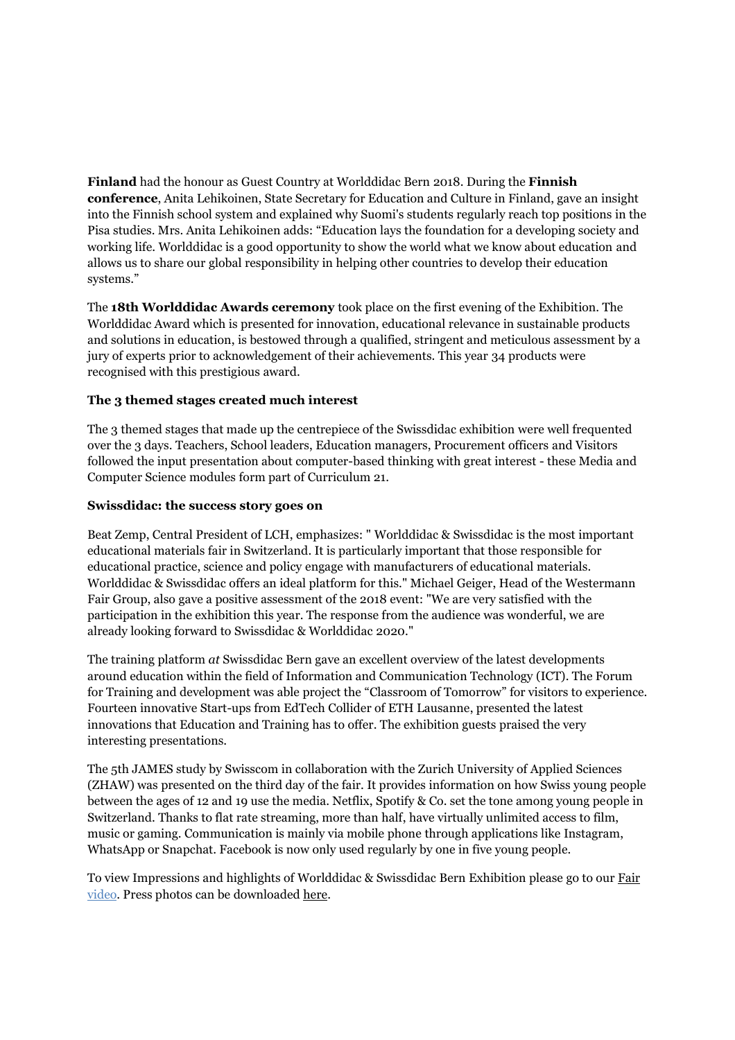**Finland** had the honour as Guest Country at Worlddidac Bern 2018. During the **Finnish conference**, Anita Lehikoinen, State Secretary for Education and Culture in Finland, gave an insight into the Finnish school system and explained why Suomi's students regularly reach top positions in the Pisa studies. Mrs. Anita Lehikoinen adds: "Education lays the foundation for a developing society and working life. Worlddidac is a good opportunity to show the world what we know about education and allows us to share our global responsibility in helping other countries to develop their education systems."

The **18th Worlddidac Awards ceremony** took place on the first evening of the Exhibition. The Worlddidac Award which is presented for innovation, educational relevance in sustainable products and solutions in education, is bestowed through a qualified, stringent and meticulous assessment by a jury of experts prior to acknowledgement of their achievements. This year 34 products were recognised with this prestigious award.

#### **The 3 themed stages created much interest**

The 3 themed stages that made up the centrepiece of the Swissdidac exhibition were well frequented over the 3 days. Teachers, School leaders, Education managers, Procurement officers and Visitors followed the input presentation about computer-based thinking with great interest - these Media and Computer Science modules form part of Curriculum 21.

#### **Swissdidac: the success story goes on**

Beat Zemp, Central President of LCH, emphasizes: " Worlddidac & Swissdidac is the most important educational materials fair in Switzerland. It is particularly important that those responsible for educational practice, science and policy engage with manufacturers of educational materials. Worlddidac & Swissdidac offers an ideal platform for this." Michael Geiger, Head of the Westermann Fair Group, also gave a positive assessment of the 2018 event: "We are very satisfied with the participation in the exhibition this year. The response from the audience was wonderful, we are already looking forward to Swissdidac & Worlddidac 2020."

The training platform *at* Swissdidac Bern gave an excellent overview of the latest developments around education within the field of Information and Communication Technology (ICT). The Forum for Training and development was able project the "Classroom of Tomorrow" for visitors to experience. Fourteen innovative Start-ups from EdTech Collider of ETH Lausanne, presented the latest innovations that Education and Training has to offer. The exhibition guests praised the very interesting presentations.

The 5th JAMES study by Swisscom in collaboration with the Zurich University of Applied Sciences (ZHAW) was presented on the third day of the fair. It provides information on how Swiss young people between the ages of 12 and 19 use the media. Netflix, Spotify & Co. set the tone among young people in Switzerland. Thanks to flat rate streaming, more than half, have virtually unlimited access to film, music or gaming. Communication is mainly via mobile phone through applications like Instagram, WhatsApp or Snapchat. Facebook is now only used regularly by one in five young people.

To view Impressions and highlights of Worlddidac & Swissdidac Bern Exhibition please go to our [Fair](https://youtu.be/QpdAr75yBpA) video. Press photos can be downloaded [here.](https://www.worlddidac-bern.com/wdd-en/media/press-images.aspx)